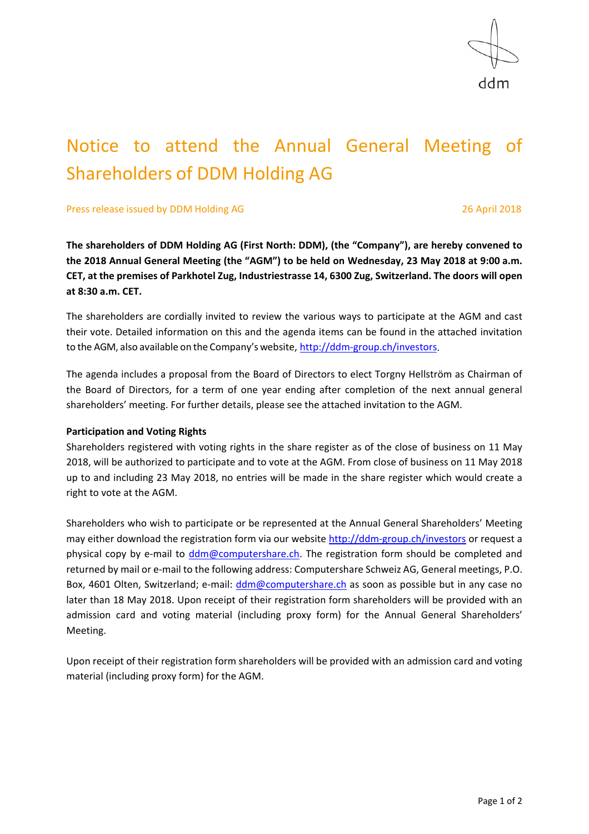

# Notice to attend the Annual General Meeting of Shareholders of DDM Holding AG

Press release issued by DDM Holding AG 26 April 2018

**The shareholders of DDM Holding AG (First North: DDM), (the "Company"), are hereby convened to the 2018 Annual General Meeting (the "AGM") to be held on Wednesday, 23 May 2018 at 9:00 a.m. CET, at the premises of Parkhotel Zug, Industriestrasse 14, 6300 Zug, Switzerland. The doors will open at 8:30 a.m. CET.** 

The shareholders are cordially invited to review the various ways to participate at the AGM and cast their vote. Detailed information on this and the agenda items can be found in the attached invitation to the AGM, also available on the Company's website, http://ddm-group.ch/investors.

The agenda includes a proposal from the Board of Directors to elect Torgny Hellström as Chairman of the Board of Directors, for a term of one year ending after completion of the next annual general shareholders' meeting. For further details, please see the attached invitation to the AGM.

## **Participation and Voting Rights**

Shareholders registered with voting rights in the share register as of the close of business on 11 May 2018, will be authorized to participate and to vote at the AGM. From close of business on 11 May 2018 up to and including 23 May 2018, no entries will be made in the share register which would create a right to vote at the AGM.

Shareholders who wish to participate or be represented at the Annual General Shareholders' Meeting may either download the registration form via our website http://ddm-group.ch/investors or request a physical copy by e-mail to ddm@computershare.ch. The registration form should be completed and returned by mail or e-mail to the following address: Computershare Schweiz AG, General meetings, P.O. Box, 4601 Olten, Switzerland; e-mail: ddm@computershare.ch as soon as possible but in any case no later than 18 May 2018. Upon receipt of their registration form shareholders will be provided with an admission card and voting material (including proxy form) for the Annual General Shareholders' Meeting.

Upon receipt of their registration form shareholders will be provided with an admission card and voting material (including proxy form) for the AGM.